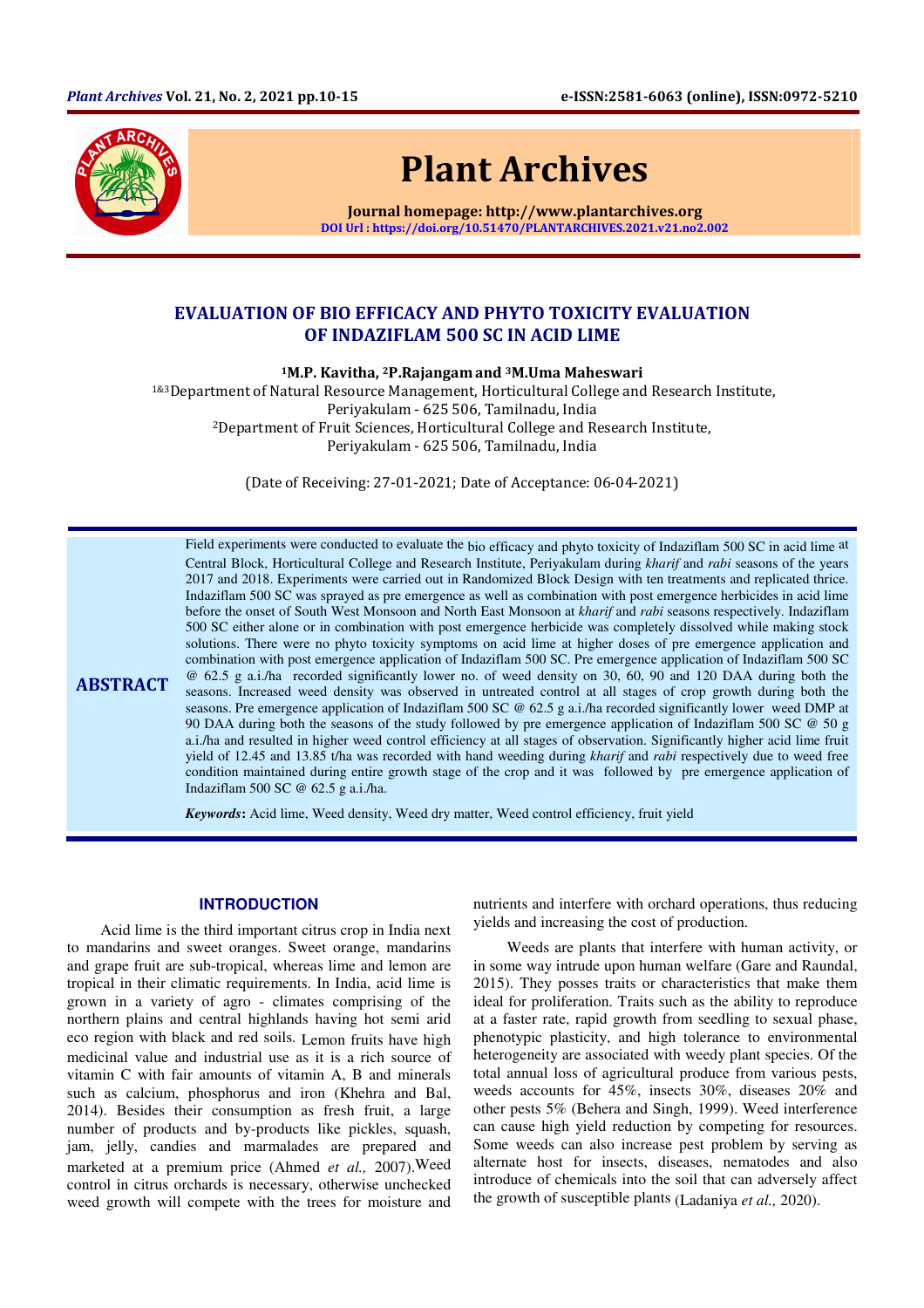

ABSTRACT

Plant Archives

Journal homepage: http://www.plantarchives.org DOI Url : https://doi.org/10.51470/PLANTARCHIVES.2021.v21.no2.002

# EVALUATION OF BIO EFFICACY AND PHYTO TOXICITY EVALUATION OF INDAZIFLAM 500 SC IN ACID LIME

<sup>1</sup>M.P. Kavitha, 2P.Rajangamand 3M.Uma Maheswari

1&3Department of Natural Resource Management, Horticultural College and Research Institute, Periyakulam - 625 506, Tamilnadu, India <sup>2</sup>Department of Fruit Sciences, Horticultural College and Research Institute, Periyakulam - 625 506, Tamilnadu, India

(Date of Receiving: 27-01-2021; Date of Acceptance: 06-04-2021)

Field experiments were conducted to evaluate the bio efficacy and phyto toxicity of Indaziflam 500 SC in acid lime at Central Block, Horticultural College and Research Institute, Periyakulam during *kharif* and *rabi* seasons of the years 2017 and 2018. Experiments were carried out in Randomized Block Design with ten treatments and replicated thrice. Indaziflam 500 SC was sprayed as pre emergence as well as combination with post emergence herbicides in acid lime before the onset of South West Monsoon and North East Monsoon at *kharif* and *rabi* seasons respectively. Indaziflam 500 SC either alone or in combination with post emergence herbicide was completely dissolved while making stock solutions. There were no phyto toxicity symptoms on acid lime at higher doses of pre emergence application and combination with post emergence application of Indaziflam 500 SC. Pre emergence application of Indaziflam 500 SC @ 62.5 g a.i./ha recorded significantly lower no. of weed density on 30, 60, 90 and 120 DAA during both the seasons. Increased weed density was observed in untreated control at all stages of crop growth during both the seasons. Pre emergence application of Indaziflam 500 SC @ 62.5 g a.i./ha recorded significantly lower weed DMP at 90 DAA during both the seasons of the study followed by pre emergence application of Indaziflam 500 SC @ 50 g a.i./ha and resulted in higher weed control efficiency at all stages of observation. Significantly higher acid lime fruit yield of 12.45 and 13.85 t/ha was recorded with hand weeding during *kharif* and *rabi* respectively due to weed free condition maintained during entire growth stage of the crop and it was followed by pre emergence application of Indaziflam 500 SC @ 62.5 g a.i./ha.

*Keywords***:** Acid lime, Weed density, Weed dry matter, Weed control efficiency, fruit yield

#### **INTRODUCTION**

Acid lime is the third important citrus crop in India next to mandarins and sweet oranges. Sweet orange, mandarins and grape fruit are sub-tropical, whereas lime and lemon are tropical in their climatic requirements. In India, acid lime is grown in a variety of agro - climates comprising of the northern plains and central highlands having hot semi arid eco region with black and red soils. Lemon fruits have high medicinal value and industrial use as it is a rich source of vitamin C with fair amounts of vitamin A, B and minerals such as calcium, phosphorus and iron (Khehra and Bal, 2014). Besides their consumption as fresh fruit, a large number of products and by-products like pickles, squash, jam, jelly, candies and marmalades are prepared and marketed at a premium price (Ahmed *et al.,* 2007).Weed control in citrus orchards is necessary, otherwise unchecked weed growth will compete with the trees for moisture and

nutrients and interfere with orchard operations, thus reducing yields and increasing the cost of production.

Weeds are plants that interfere with human activity, or in some way intrude upon human welfare (Gare and Raundal, 2015). They posses traits or characteristics that make them ideal for proliferation. Traits such as the ability to reproduce at a faster rate, rapid growth from seedling to sexual phase, phenotypic plasticity, and high tolerance to environmental heterogeneity are associated with weedy plant species. Of the total annual loss of agricultural produce from various pests, weeds accounts for 45%, insects 30%, diseases 20% and other pests 5% (Behera and Singh, 1999). Weed interference can cause high yield reduction by competing for resources. Some weeds can also increase pest problem by serving as alternate host for insects, diseases, nematodes and also introduce of chemicals into the soil that can adversely affect the growth of susceptible plants (Ladaniya *et al.,* 2020).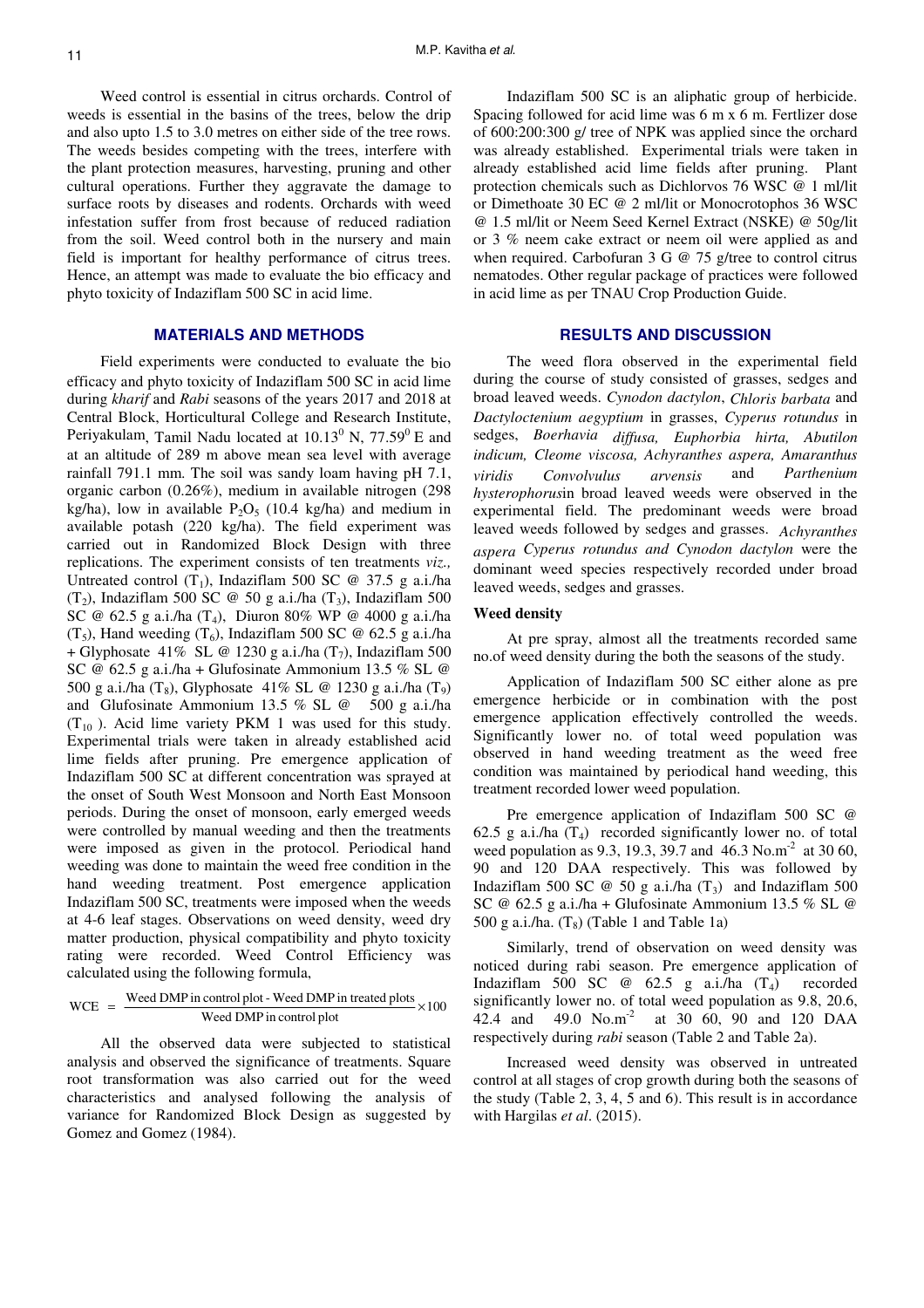Weed control is essential in citrus orchards. Control of weeds is essential in the basins of the trees, below the drip and also upto 1.5 to 3.0 metres on either side of the tree rows. The weeds besides competing with the trees, interfere with the plant protection measures, harvesting, pruning and other cultural operations. Further they aggravate the damage to surface roots by diseases and rodents. Orchards with weed infestation suffer from frost because of reduced radiation from the soil. Weed control both in the nursery and main field is important for healthy performance of citrus trees. Hence, an attempt was made to evaluate the bio efficacy and phyto toxicity of Indaziflam 500 SC in acid lime.

# **MATERIALS AND METHODS**

Field experiments were conducted to evaluate the bio efficacy and phyto toxicity of Indaziflam 500 SC in acid lime during *kharif* and *Rabi* seasons of the years 2017 and 2018 at Central Block, Horticultural College and Research Institute, Periyakulam, Tamil Nadu located at  $10.13^0$  N,  $77.59^0$  E and at an altitude of 289 m above mean sea level with average rainfall 791.1 mm. The soil was sandy loam having pH 7.1, organic carbon (0.26%), medium in available nitrogen (298 kg/ha), low in available  $P_2O_5$  (10.4 kg/ha) and medium in available potash (220 kg/ha). The field experiment was carried out in Randomized Block Design with three replications. The experiment consists of ten treatments *viz.,* Untreated control  $(T_1)$ , Indaziflam 500 SC @ 37.5 g a.i./ha (T<sub>2</sub>), Indaziflam 500 SC @ 50 g a.i./ha (T<sub>3</sub>), Indaziflam 500 SC @ 62.5 g a.i./ha (T<sub>4</sub>), Diuron 80% WP @ 4000 g a.i./ha (T<sub>5</sub>), Hand weeding (T<sub>6</sub>), Indaziflam 500 SC @ 62.5 g a.i./ha + Glyphosate 41% SL @ 1230 g a.i./ha  $(T_7)$ , Indaziflam 500 SC @ 62.5 g a.i./ha + Glufosinate Ammonium 13.5 % SL @ 500 g a.i./ha (T<sub>8</sub>), Glyphosate 41% SL @ 1230 g a.i./ha (T<sub>9</sub>) and Glufosinate Ammonium 13.5 % SL @ 500 g a.i./ha  $(T_{10})$ . Acid lime variety PKM 1 was used for this study. Experimental trials were taken in already established acid lime fields after pruning. Pre emergence application of Indaziflam 500 SC at different concentration was sprayed at the onset of South West Monsoon and North East Monsoon periods. During the onset of monsoon, early emerged weeds were controlled by manual weeding and then the treatments were imposed as given in the protocol. Periodical hand weeding was done to maintain the weed free condition in the hand weeding treatment. Post emergence application Indaziflam 500 SC, treatments were imposed when the weeds at 4-6 leaf stages. Observations on weed density, weed dry matter production, physical compatibility and phyto toxicity rating were recorded. Weed Control Efficiency was calculated using the following formula,

$$
WCE = \frac{Weed DMP in control plot - Weed DMP in treated plots}{Weed DMP in control plot} \times 100
$$

All the observed data were subjected to statistical analysis and observed the significance of treatments. Square root transformation was also carried out for the weed characteristics and analysed following the analysis of variance for Randomized Block Design as suggested by Gomez and Gomez (1984).

Indaziflam 500 SC is an aliphatic group of herbicide. Spacing followed for acid lime was 6 m x 6 m. Fertlizer dose of 600:200:300 g/ tree of NPK was applied since the orchard was already established. Experimental trials were taken in already established acid lime fields after pruning. Plant protection chemicals such as Dichlorvos 76 WSC @ 1 ml/lit or Dimethoate 30 EC @ 2 ml/lit or Monocrotophos 36 WSC @ 1.5 ml/lit or Neem Seed Kernel Extract (NSKE) @ 50g/lit or 3 % neem cake extract or neem oil were applied as and when required. Carbofuran 3 G @ 75 g/tree to control citrus nematodes. Other regular package of practices were followed in acid lime as per TNAU Crop Production Guide.

# **RESULTS AND DISCUSSION**

The weed flora observed in the experimental field during the course of study consisted of grasses, sedges and broad leaved weeds. *Cynodon dactylon*, *Chloris barbata* and *Dactyloctenium aegyptium* in grasses, *Cyperus rotundus* in sedges, *Boerhavia diffusa, Euphorbia hirta, Abutilon indicum, Cleome viscosa, Achyranthes aspera, Amaranthus viridis Convolvulus arvensis* and *Parthenium hysterophorus*in broad leaved weeds were observed in the experimental field. The predominant weeds were broad leaved weeds followed by sedges and grasses. *Achyranthes aspera Cyperus rotundus and Cynodon dactylon* were the dominant weed species respectively recorded under broad leaved weeds, sedges and grasses.

#### **Weed density**

At pre spray, almost all the treatments recorded same no.of weed density during the both the seasons of the study.

Application of Indaziflam 500 SC either alone as pre emergence herbicide or in combination with the post emergence application effectively controlled the weeds. Significantly lower no. of total weed population was observed in hand weeding treatment as the weed free condition was maintained by periodical hand weeding, this treatment recorded lower weed population.

Pre emergence application of Indaziflam 500 SC @ 62.5 g a.i./ha  $(T_4)$  recorded significantly lower no. of total weed population as 9.3, 19.3, 39.7 and 46.3 No.m<sup>-2</sup> at 30 60, 90 and 120 DAA respectively. This was followed by Indaziflam 500 SC  $\omega$  50 g a.i./ha  $(T_3)$  and Indaziflam 500 SC @ 62.5 g a.i./ha + Glufosinate Ammonium 13.5 % SL @ 500 g a.i./ha.  $(T_8)$  (Table 1 and Table 1a)

Similarly, trend of observation on weed density was noticed during rabi season. Pre emergence application of Indaziflam 500 SC  $\omega$  62.5 g a.i./ha  $(T_4)$  recorded significantly lower no. of total weed population as 9.8, 20.6, 42.4 and 49.0 No.m-2 at 30 60, 90 and 120 DAA respectively during *rabi* season (Table 2 and Table 2a).

Increased weed density was observed in untreated control at all stages of crop growth during both the seasons of the study (Table 2, 3, 4, 5 and 6). This result is in accordance with Hargilas *et al*. (2015).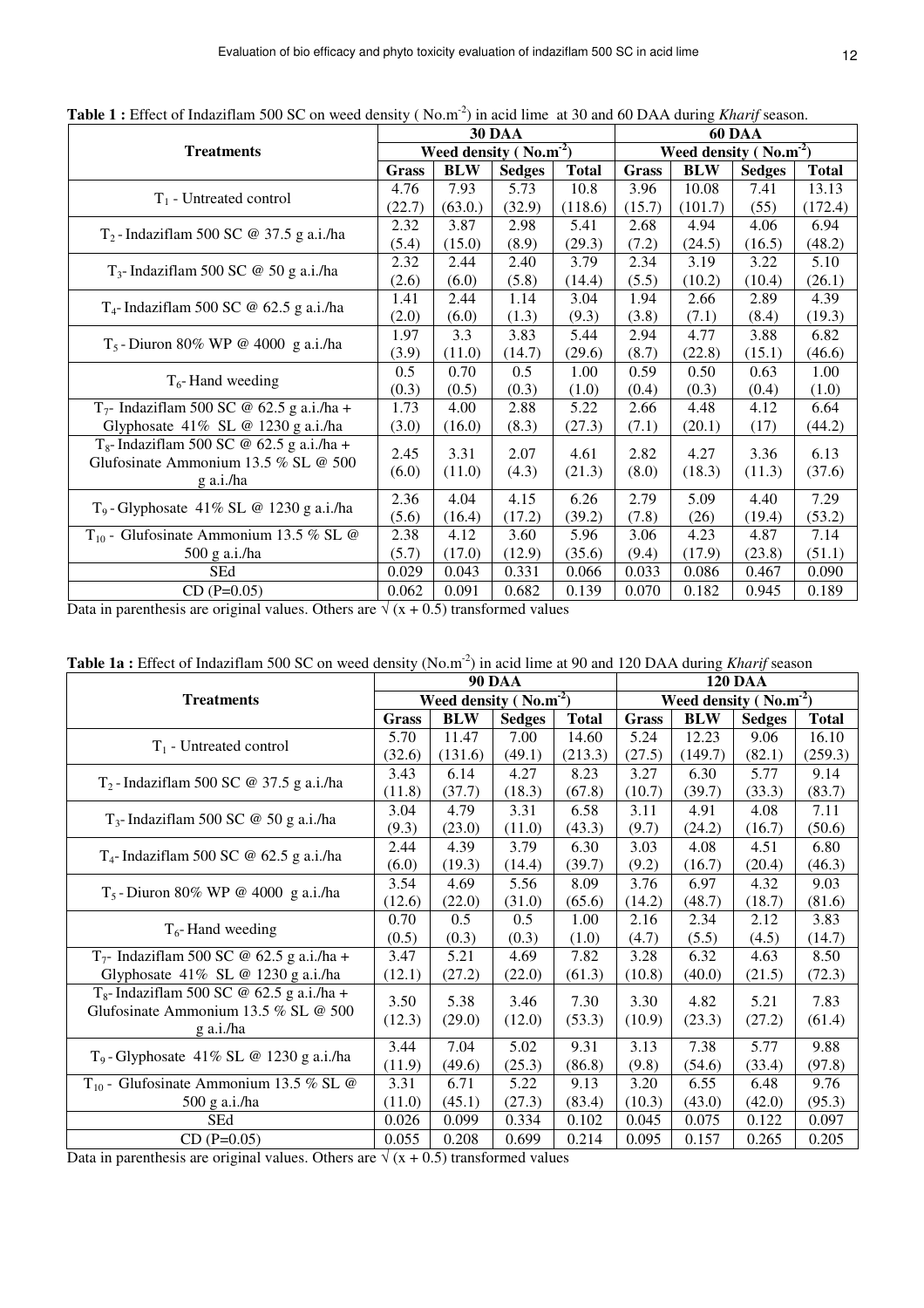|                                              |              |            | <b>30 DAA</b>                    | <b>60 DAA</b> |              |                                  |               |              |  |  |
|----------------------------------------------|--------------|------------|----------------------------------|---------------|--------------|----------------------------------|---------------|--------------|--|--|
| <b>Treatments</b>                            |              |            | Weed density ( $\text{No.m}^2$ ) |               |              | Weed density ( $\text{No.m}^2$ ) |               |              |  |  |
|                                              | <b>Grass</b> | <b>BLW</b> | <b>Sedges</b>                    | <b>Total</b>  | <b>Grass</b> | <b>BLW</b>                       | <b>Sedges</b> | <b>Total</b> |  |  |
|                                              | 4.76         | 7.93       | 5.73                             | 10.8          | 3.96         | 10.08                            | 7.41          | 13.13        |  |  |
| $T_1$ - Untreated control                    | (22.7)       | (63.0.)    | (32.9)                           | (118.6)       | (15.7)       | (101.7)                          | (55)          | (172.4)      |  |  |
| $T_2$ -Indaziflam 500 SC @ 37.5 g a.i./ha    | 2.32         | 3.87       | 2.98                             | 5.41          | 2.68         | 4.94                             | 4.06          | 6.94         |  |  |
|                                              | (5.4)        | (15.0)     | (8.9)                            | (29.3)        | (7.2)        | (24.5)                           | (16.5)        | (48.2)       |  |  |
| $T_3$ - Indaziflam 500 SC @ 50 g a.i./ha     | 2.32         | 2.44       | 2.40                             | 3.79          | 2.34         | 3.19                             | 3.22          | 5.10         |  |  |
|                                              | (2.6)        | (6.0)      | (5.8)                            | (14.4)        | (5.5)        | (10.2)                           | (10.4)        | (26.1)       |  |  |
| $T_4$ - Indaziflam 500 SC @ 62.5 g a.i./ha   | 1.41         | 2.44       | 1.14                             | 3.04          | 1.94         | 2.66                             | 2.89          | 4.39         |  |  |
|                                              | (2.0)        | (6.0)      | (1.3)                            | (9.3)         | (3.8)        | (7.1)                            | (8.4)         | (19.3)       |  |  |
| $T_5$ -Diuron 80% WP @ 4000 g a.i./ha        | 1.97         | 3.3        | 3.83                             | 5.44          | 2.94         | 4.77                             | 3.88          | 6.82         |  |  |
|                                              | (3.9)        | (11.0)     | (14.7)                           | (29.6)        | (8.7)        | (22.8)                           | (15.1)        | (46.6)       |  |  |
|                                              | 0.5          | 0.70       | 0.5                              | 1.00          | 0.59         | 0.50                             | 0.63          | 1.00         |  |  |
| $T_6$ -Hand weeding                          | (0.3)        | (0.5)      | (0.3)                            | (1.0)         | (0.4)        | (0.3)                            | (0.4)         | (1.0)        |  |  |
| $T_7$ - Indaziflam 500 SC @ 62.5 g a.i./ha + | 1.73         | 4.00       | 2.88                             | 5.22          | 2.66         | 4.48                             | 4.12          | 6.64         |  |  |
| Glyphosate $41\%$ SL @ 1230 g a.i./ha        | (3.0)        | (16.0)     | (8.3)                            | (27.3)        | (7.1)        | (20.1)                           | (17)          | (44.2)       |  |  |
| $T_8$ - Indaziflam 500 SC @ 62.5 g a.i./ha + | 2.45         | 3.31       | 2.07                             | 4.61          | 2.82         | 4.27                             | 3.36          | 6.13         |  |  |
| Glufosinate Ammonium 13.5 % SL @ 500         | (6.0)        | (11.0)     | (4.3)                            | (21.3)        | (8.0)        | (18.3)                           | (11.3)        | (37.6)       |  |  |
| g a.i./ha                                    |              |            |                                  |               |              |                                  |               |              |  |  |
|                                              | 2.36         | 4.04       | 4.15                             | 6.26          | 2.79         | 5.09                             | 4.40          | 7.29         |  |  |
| $T_9$ -Glyphosate 41% SL @ 1230 g a.i./ha    | (5.6)        | (16.4)     | (17.2)                           | (39.2)        | (7.8)        | (26)                             | (19.4)        | (53.2)       |  |  |
| $T_{10}$ - Glufosinate Ammonium 13.5 % SL @  | 2.38         | 4.12       | 3.60                             | 5.96          | 3.06         | 4.23                             | 4.87          | 7.14         |  |  |
| 500 g a.i./ha                                | (5.7)        | (17.0)     | (12.9)                           | (35.6)        | (9.4)        | (17.9)                           | (23.8)        | (51.1)       |  |  |
| SEd                                          | 0.029        | 0.043      | 0.331                            | 0.066         | 0.033        | 0.086                            | 0.467         | 0.090        |  |  |
| $CD (P=0.05)$                                | 0.062        | 0.091      | 0.682                            | 0.139         | 0.070        | 0.182                            | 0.945         | 0.189        |  |  |

Table 1 : Effect of Indaziflam 500 SC on weed density (No.m<sup>-2</sup>) in acid lime at 30 and 60 DAA during *Kharif* season.

Data in parenthesis are original values. Others are  $\sqrt{(x + 0.5)}$  transformed values

|                                                      |        |                         | <b>90 DAA</b> | <b>120 DAA</b> |              |            |                        |              |  |  |
|------------------------------------------------------|--------|-------------------------|---------------|----------------|--------------|------------|------------------------|--------------|--|--|
| <b>Treatments</b>                                    |        | Weed density $(No.m-2)$ |               |                |              |            | Weed density $(No.m2)$ |              |  |  |
|                                                      |        | <b>BLW</b>              | <b>Sedges</b> | <b>Total</b>   | <b>Grass</b> | <b>BLW</b> | <b>Sedges</b>          | <b>Total</b> |  |  |
|                                                      | 5.70   | 11.47                   | 7.00          | 14.60          | 5.24         | 12.23      | 9.06                   | 16.10        |  |  |
| $T_1$ - Untreated control                            | (32.6) | (131.6)                 | (49.1)        | (213.3)        | (27.5)       | (149.7)    | (82.1)                 | (259.3)      |  |  |
| $T_2$ -Indaziflam 500 SC @ 37.5 g a.i./ha            | 3.43   | 6.14                    | 4.27          | 8.23           | 3.27         | 6.30       | 5.77                   | 9.14         |  |  |
|                                                      | (11.8) | (37.7)                  | (18.3)        | (67.8)         | (10.7)       | (39.7)     | (33.3)                 | (83.7)       |  |  |
| $T_3$ - Indaziflam 500 SC @ 50 g a.i./ha             | 3.04   | 4.79                    | 3.31          | 6.58           | 3.11         | 4.91       | 4.08                   | 7.11         |  |  |
|                                                      | (9.3)  | (23.0)                  | (11.0)        | (43.3)         | (9.7)        | (24.2)     | (16.7)                 | (50.6)       |  |  |
|                                                      | 2.44   | 4.39                    | 3.79          | 6.30           | 3.03         | 4.08       | 4.51                   | 6.80         |  |  |
| $T_4$ - Indaziflam 500 SC @ 62.5 g a.i./ha           | (6.0)  | (19.3)                  | (14.4)        | (39.7)         | (9.2)        | (16.7)     | (20.4)                 | (46.3)       |  |  |
| $T_5$ -Diuron 80% WP @ 4000 g a.i./ha                | 3.54   | 4.69                    | 5.56          | 8.09           | 3.76         | 6.97       | 4.32                   | 9.03         |  |  |
|                                                      | (12.6) | (22.0)                  | (31.0)        | (65.6)         | (14.2)       | (48.7)     | (18.7)                 | (81.6)       |  |  |
| $T_6$ -Hand weeding                                  | 0.70   | 0.5                     | 0.5           | 1.00           | 2.16         | 2.34       | 2.12                   | 3.83         |  |  |
|                                                      | (0.5)  | (0.3)                   | (0.3)         | (1.0)          | (4.7)        | (5.5)      | (4.5)                  | (14.7)       |  |  |
| $T_7$ - Indaziflam 500 SC @ 62.5 g a.i./ha +         | 3.47   | 5.21                    | 4.69          | 7.82           | 3.28         | 6.32       | 4.63                   | 8.50         |  |  |
| Glyphosate 41% SL @ 1230 g a.i./ha                   | (12.1) | (27.2)                  | (22.0)        | (61.3)         | (10.8)       | (40.0)     | (21.5)                 | (72.3)       |  |  |
| T <sub>8</sub> -Indaziflam 500 SC @ 62.5 g a.i./ha + | 3.50   | 5.38                    | 3.46          | 7.30           | 3.30         | 4.82       | 5.21                   | 7.83         |  |  |
| Glufosinate Ammonium 13.5 % SL @ 500                 | (12.3) | (29.0)                  | (12.0)        | (53.3)         | (10.9)       | (23.3)     | (27.2)                 | (61.4)       |  |  |
| g a.i./ha                                            |        |                         |               |                |              |            |                        |              |  |  |
| $T_9$ - Glyphosate 41% SL @ 1230 g a.i./ha           | 3.44   | 7.04                    | 5.02          | 9.31           | 3.13         | 7.38       | 5.77                   | 9.88         |  |  |
|                                                      | (11.9) | (49.6)                  | (25.3)        | (86.8)         | (9.8)        | (54.6)     | (33.4)                 | (97.8)       |  |  |
| $T_{10}$ - Glufosinate Ammonium 13.5 % SL @          | 3.31   | 6.71                    | 5.22          | 9.13           | 3.20         | 6.55       | 6.48                   | 9.76         |  |  |
| 500 g a.i./ha                                        | (11.0) | (45.1)                  | (27.3)        | (83.4)         | (10.3)       | (43.0)     | (42.0)                 | (95.3)       |  |  |
| <b>SEd</b>                                           | 0.026  | 0.099                   | 0.334         | 0.102          | 0.045        | 0.075      | 0.122                  | 0.097        |  |  |
| $CD (P=0.05)$                                        | 0.055  | 0.208                   | 0.699         | 0.214          | 0.095        | 0.157      | 0.265                  | 0.205        |  |  |

Table 1a : Effect of Indaziflam 500 SC on weed density (No.m<sup>-2</sup>) in acid lime at 90 and 120 DAA during *Kharif* season

Data in parenthesis are original values. Others are  $\sqrt{(x + 0.5)}$  transformed values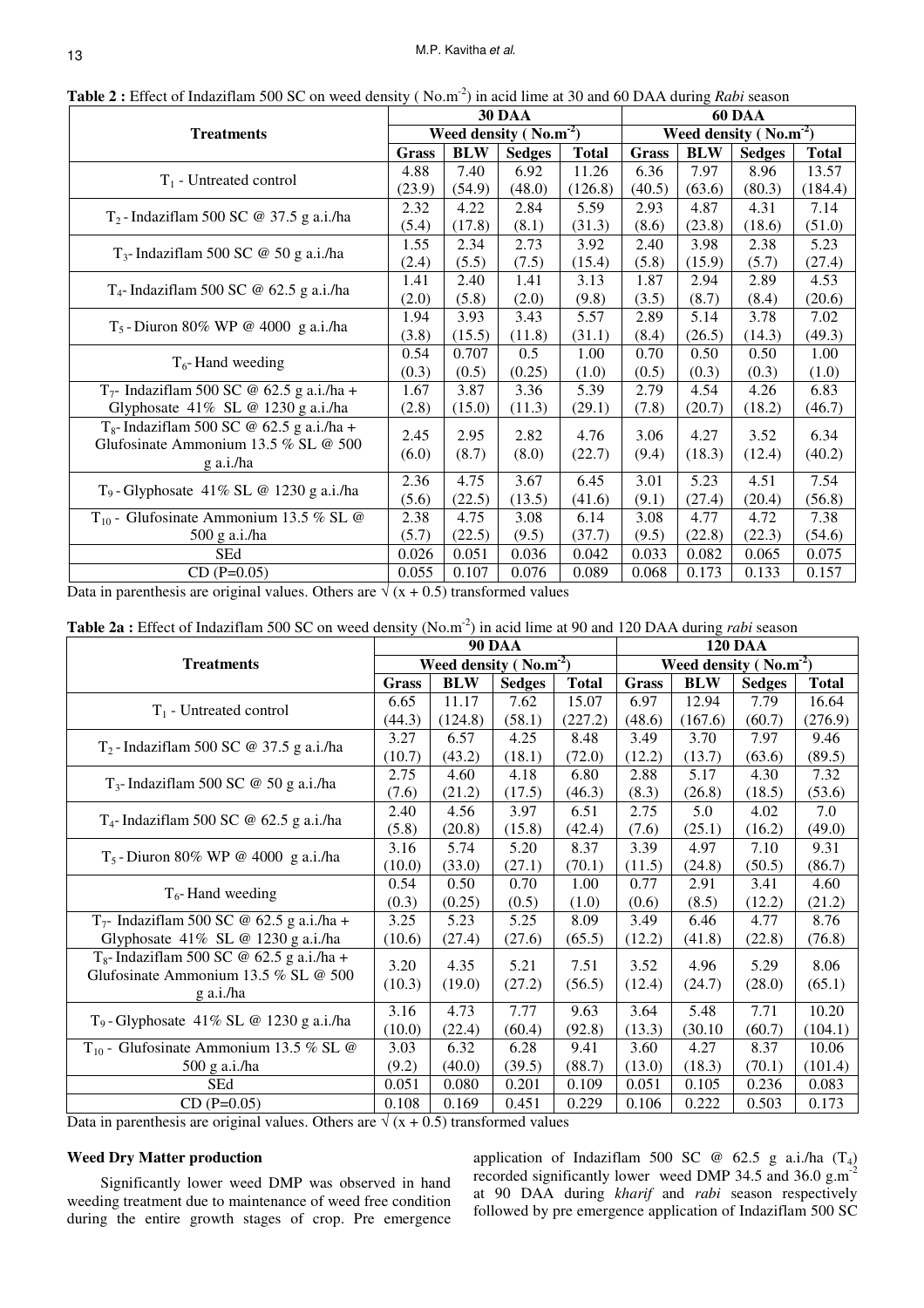| <b>Table 2 :</b> Effect of Indazifiam 500 SC on weed density (No.m <sup>-</sup> ) in acid lime at 30 and 60 DAA during <i>Rabi</i> season |                                         |                                 |                                                  |                                                                                 |                                |                                  |                          |  |  |  |
|-------------------------------------------------------------------------------------------------------------------------------------------|-----------------------------------------|---------------------------------|--------------------------------------------------|---------------------------------------------------------------------------------|--------------------------------|----------------------------------|--------------------------|--|--|--|
|                                                                                                                                           |                                         |                                 |                                                  | <b>60 DAA</b>                                                                   |                                |                                  |                          |  |  |  |
|                                                                                                                                           |                                         |                                 |                                                  | Weed density ( $\text{No.m}^2$ )                                                |                                |                                  |                          |  |  |  |
| Grass                                                                                                                                     | <b>BLW</b>                              | <b>Sedges</b>                   | <b>Total</b>                                     | <b>Grass</b>                                                                    | <b>BLW</b>                     | <b>Sedges</b>                    | <b>Total</b>             |  |  |  |
| 4.88                                                                                                                                      | 7.40                                    | 6.92                            | 11.26                                            | 6.36                                                                            | 7.97                           | 8.96                             | 13.57                    |  |  |  |
| (23.9)                                                                                                                                    | (54.9)                                  | (48.0)                          | (126.8)                                          | (40.5)                                                                          | (63.6)                         | (80.3)                           | (184.4)                  |  |  |  |
| 2.32                                                                                                                                      | 4.22                                    | 2.84                            | 5.59                                             | 2.93                                                                            | 4.87                           | 4.31                             | 7.14                     |  |  |  |
| (5.4)                                                                                                                                     | (17.8)                                  | (8.1)                           | (31.3)                                           | (8.6)                                                                           | (23.8)                         | (18.6)                           | (51.0)                   |  |  |  |
| 1.55                                                                                                                                      | 2.34                                    | 2.73                            | 3.92                                             | 2.40                                                                            | 3.98                           | 2.38                             | 5.23                     |  |  |  |
| (2.4)                                                                                                                                     | (5.5)                                   | (7.5)                           | (15.4)                                           | (5.8)                                                                           | (15.9)                         | (5.7)                            | (27.4)                   |  |  |  |
| 1.41                                                                                                                                      | 2.40                                    | 1.41                            | 3.13                                             | 1.87                                                                            | 2.94                           | 2.89                             | 4.53                     |  |  |  |
| (2.0)                                                                                                                                     | (5.8)                                   | (2.0)                           | (9.8)                                            | (3.5)                                                                           | (8.7)                          | (8.4)                            | (20.6)                   |  |  |  |
| 1.94                                                                                                                                      | 3.93                                    | 3.43                            | 5.57                                             | 2.89                                                                            | 5.14                           | 3.78                             | 7.02                     |  |  |  |
| (3.8)                                                                                                                                     | (15.5)                                  | (11.8)                          | (31.1)                                           | (8.4)                                                                           | (26.5)                         | (14.3)                           | (49.3)                   |  |  |  |
| 0.54                                                                                                                                      | 0.707                                   | 0.5                             | 1.00                                             | 0.70                                                                            | 0.50                           | 0.50                             | 1.00                     |  |  |  |
| (0.3)                                                                                                                                     | (0.5)                                   | (0.25)                          | (1.0)                                            | (0.5)                                                                           | (0.3)                          | (0.3)                            | (1.0)                    |  |  |  |
| 1.67                                                                                                                                      | 3.87                                    | 3.36                            | 5.39                                             | 2.79                                                                            | 4.54                           | 4.26                             | 6.83                     |  |  |  |
| (2.8)                                                                                                                                     | (15.0)                                  | (11.3)                          | (29.1)                                           | (7.8)                                                                           | (20.7)                         | (18.2)                           | (46.7)                   |  |  |  |
|                                                                                                                                           |                                         |                                 |                                                  |                                                                                 |                                |                                  | 6.34                     |  |  |  |
|                                                                                                                                           |                                         |                                 |                                                  |                                                                                 |                                |                                  | (40.2)                   |  |  |  |
|                                                                                                                                           |                                         |                                 |                                                  |                                                                                 |                                |                                  |                          |  |  |  |
|                                                                                                                                           |                                         |                                 |                                                  |                                                                                 |                                | 4.51                             | 7.54                     |  |  |  |
|                                                                                                                                           |                                         |                                 |                                                  |                                                                                 |                                |                                  | (56.8)                   |  |  |  |
| 2.38                                                                                                                                      | 4.75                                    | 3.08                            | 6.14                                             | 3.08                                                                            | 4.77                           | 4.72                             | 7.38                     |  |  |  |
| (5.7)                                                                                                                                     | (22.5)                                  | (9.5)                           | (37.7)                                           | (9.5)                                                                           | (22.8)                         | (22.3)                           | (54.6)                   |  |  |  |
| 0.026                                                                                                                                     | 0.051                                   | 0.036                           | 0.042                                            | 0.033                                                                           | 0.082                          | 0.065                            | 0.075                    |  |  |  |
|                                                                                                                                           | 0.107                                   | 0.076                           | 0.089                                            | 0.068                                                                           | 0.173                          | 0.133                            | 0.157                    |  |  |  |
|                                                                                                                                           | 2.45<br>(6.0)<br>2.36<br>(5.6)<br>0.055 | 2.95<br>(8.7)<br>4.75<br>(22.5) | <b>30 DAA</b><br>2.82<br>(8.0)<br>3.67<br>(13.5) | Weed density ( $\overline{\text{No.m}}^2$ )<br>4.76<br>(22.7)<br>6.45<br>(41.6) | 3.06<br>(9.4)<br>3.01<br>(9.1) | 4.27<br>(18.3)<br>5.23<br>(27.4) | 3.52<br>(12.4)<br>(20.4) |  |  |  |

**Table 2** :  $\text{Effect of Index}$  flags  $\text{FQ}$  on weed density (No.m<sup>-2</sup>) in acid lime at 30 and 60 DAA during *Rabi* 

Data in parenthesis are original values. Others are  $\sqrt{(x + 0.5)}$  transformed values

**Table 2a :** Effect of Indaziflam 500 SC on weed density (No.m-2) in acid lime at 90 and 120 DAA during *rabi* season

|                                                       |              |                                  | <b>90 DAA</b> | <b>120 DAA</b> |              |            |                                  |              |  |  |
|-------------------------------------------------------|--------------|----------------------------------|---------------|----------------|--------------|------------|----------------------------------|--------------|--|--|
| <b>Treatments</b>                                     |              | Weed density ( $\text{No.m}^2$ ) |               |                |              |            | Weed density ( $\text{No.m}^2$ ) |              |  |  |
|                                                       | <b>Grass</b> | <b>BLW</b>                       | <b>Sedges</b> | <b>Total</b>   | <b>Grass</b> | <b>BLW</b> | <b>Sedges</b>                    | <b>Total</b> |  |  |
|                                                       | 6.65         | 11.17                            | 7.62          | 15.07          | 6.97         | 12.94      | 7.79                             | 16.64        |  |  |
| $T_1$ - Untreated control                             | (44.3)       | (124.8)                          | (58.1)        | (227.2)        | (48.6)       | (167.6)    | (60.7)                           | (276.9)      |  |  |
| $T_2$ -Indaziflam 500 SC @ 37.5 g a.i./ha             | 3.27         | 6.57                             | 4.25          | 8.48           | 3.49         | 3.70       | 7.97                             | 9.46         |  |  |
|                                                       | (10.7)       | (43.2)                           | (18.1)        | (72.0)         | (12.2)       | (13.7)     | (63.6)                           | (89.5)       |  |  |
| $T_3$ - Indaziflam 500 SC @ 50 g a.i./ha              | 2.75         | 4.60                             | 4.18          | 6.80           | 2.88         | 5.17       | 4.30                             | 7.32         |  |  |
|                                                       | (7.6)        | (21.2)                           | (17.5)        | (46.3)         | (8.3)        | (26.8)     | (18.5)                           | (53.6)       |  |  |
| $T_4$ - Indaziflam 500 SC @ 62.5 g a.i./ha            | 2.40         | 4.56                             | 3.97          | 6.51           | 2.75         | 5.0        | 4.02                             | 7.0          |  |  |
|                                                       | (5.8)        | (20.8)                           | (15.8)        | (42.4)         | (7.6)        | (25.1)     | (16.2)                           | (49.0)       |  |  |
| $T_5$ -Diuron 80% WP @ 4000 g a.i./ha                 | 3.16         | 5.74                             | 5.20          | 8.37           | 3.39         | 4.97       | 7.10                             | 9.31         |  |  |
|                                                       | (10.0)       | (33.0)                           | (27.1)        | (70.1)         | (11.5)       | (24.8)     | (50.5)                           | (86.7)       |  |  |
|                                                       | 0.54         | 0.50                             | 0.70          | 1.00           | 0.77         | 2.91       | 3.41                             | 4.60         |  |  |
| $T_6$ -Hand weeding                                   | (0.3)        | (0.25)                           | (0.5)         | (1.0)          | (0.6)        | (8.5)      | (12.2)                           | (21.2)       |  |  |
| T <sub>7</sub> - Indaziflam 500 SC @ 62.5 g a.i./ha + | 3.25         | 5.23                             | 5.25          | 8.09           | 3.49         | 6.46       | 4.77                             | 8.76         |  |  |
| Glyphosate 41% SL @ 1230 g a.i./ha                    | (10.6)       | (27.4)                           | (27.6)        | (65.5)         | (12.2)       | (41.8)     | (22.8)                           | (76.8)       |  |  |
| $T_8$ - Indaziflam 500 SC @ 62.5 g a.i./ha +          | 3.20         | 4.35                             | 5.21          | 7.51           | 3.52         | 4.96       | 5.29                             | 8.06         |  |  |
| Glufosinate Ammonium 13.5 % SL @ 500                  | (10.3)       | (19.0)                           | (27.2)        | (56.5)         | (12.4)       | (24.7)     | (28.0)                           | (65.1)       |  |  |
| g a.i./ha                                             |              |                                  |               |                |              |            |                                  |              |  |  |
| $T_9$ - Glyphosate 41% SL @ 1230 g a.i./ha            | 3.16         | 4.73                             | 7.77          | 9.63           | 3.64         | 5.48       | 7.71                             | 10.20        |  |  |
|                                                       | (10.0)       | (22.4)                           | (60.4)        | (92.8)         | (13.3)       | (30.10)    | (60.7)                           | (104.1)      |  |  |
| $T_{10}$ - Glufosinate Ammonium 13.5 % SL @           | 3.03         | 6.32                             | 6.28          | 9.41           | 3.60         | 4.27       | 8.37                             | 10.06        |  |  |
| 500 g a.i./ha                                         | (9.2)        | (40.0)                           | (39.5)        | (88.7)         | (13.0)       | (18.3)     | (70.1)                           | (101.4)      |  |  |
| <b>SEd</b>                                            | 0.051        | 0.080                            | 0.201         | 0.109          | 0.051        | 0.105      | 0.236                            | 0.083        |  |  |
| $CD (P=0.05)$                                         | 0.108        | 0.169                            | 0.451         | 0.229          | 0.106        | 0.222      | 0.503                            | 0.173        |  |  |

Data in parenthesis are original values. Others are  $\sqrt{(x + 0.5)}$  transformed values

## **Weed Dry Matter production**

Significantly lower weed DMP was observed in hand weeding treatment due to maintenance of weed free condition during the entire growth stages of crop. Pre emergence application of Indaziflam 500 SC  $\omega$  62.5 g a.i./ha (T<sub>4</sub>) recorded significantly lower weed DMP 34.5 and 36.0  $\text{g.m}^2$ at 90 DAA during *kharif* and *rabi* season respectively followed by pre emergence application of Indaziflam 500 SC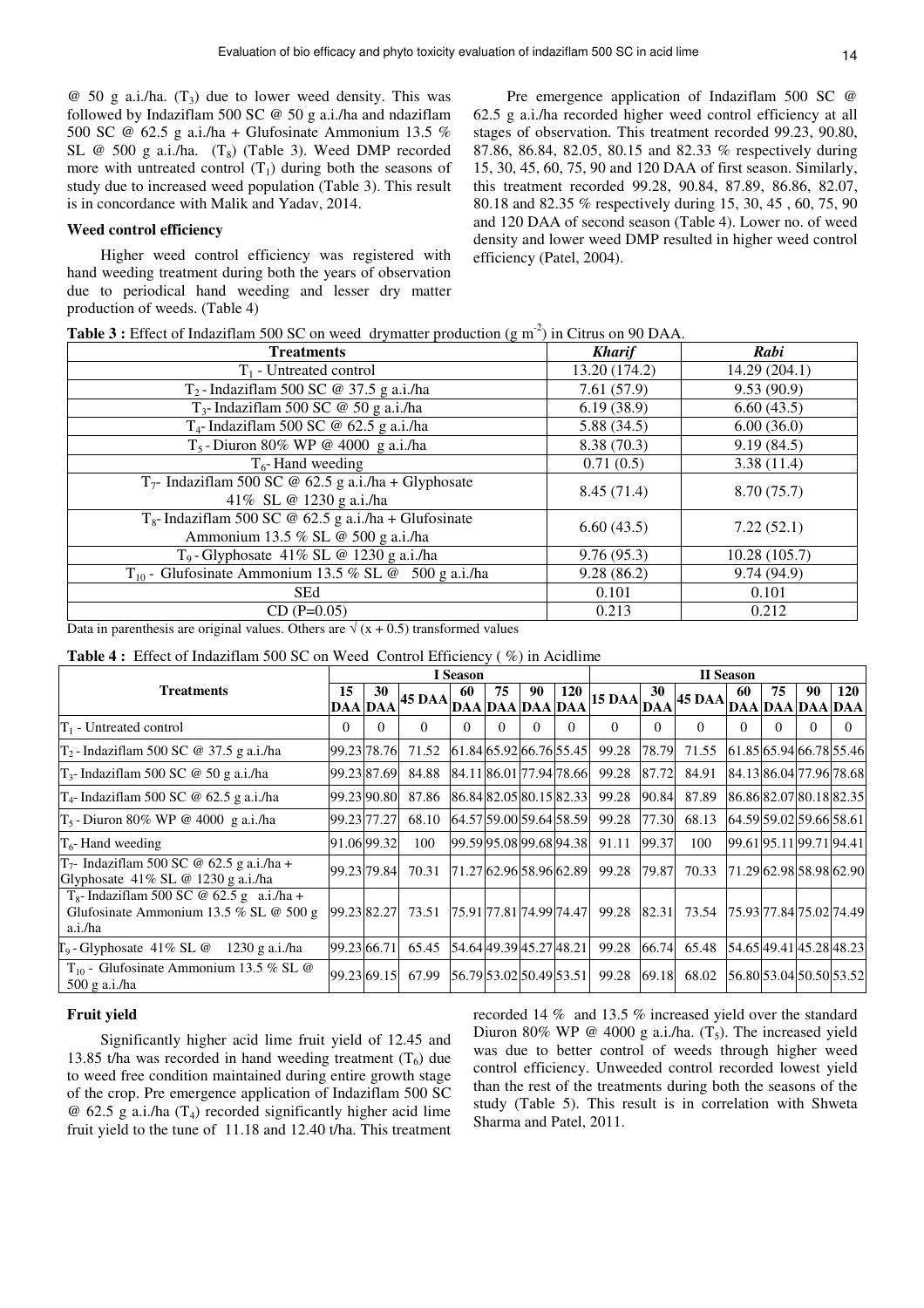$\omega$  50 g a.i./ha. (T<sub>3</sub>) due to lower weed density. This was followed by Indaziflam 500 SC @ 50 g a.i./ha and ndaziflam 500 SC @ 62.5 g a.i./ha + Glufosinate Ammonium 13.5 % SL @ 500 g a.i./ha.  $(T_8)$  (Table 3). Weed DMP recorded more with untreated control  $(T_1)$  during both the seasons of study due to increased weed population (Table 3). This result is in concordance with Malik and Yadav, 2014.

#### **Weed control efficiency**

Higher weed control efficiency was registered with hand weeding treatment during both the years of observation due to periodical hand weeding and lesser dry matter production of weeds. (Table 4)

Pre emergence application of Indaziflam 500 SC @ 62.5 g a.i./ha recorded higher weed control efficiency at all stages of observation. This treatment recorded 99.23, 90.80, 87.86, 86.84, 82.05, 80.15 and 82.33 % respectively during 15, 30, 45, 60, 75, 90 and 120 DAA of first season. Similarly, this treatment recorded 99.28, 90.84, 87.89, 86.86, 82.07, 80.18 and 82.35 % respectively during 15, 30, 45 , 60, 75, 90 and 120 DAA of second season (Table 4). Lower no. of weed density and lower weed DMP resulted in higher weed control efficiency (Patel, 2004).

| <b>Table 3 :</b> Effect of Indaziflam 500 SC on weed drymatter production $(g m2)$ in Citrus on 90 DAA. |  |  |
|---------------------------------------------------------------------------------------------------------|--|--|
|                                                                                                         |  |  |

| <b>Treatments</b>                                                                                    | <b>Kharif</b> | Rabi          |
|------------------------------------------------------------------------------------------------------|---------------|---------------|
| $T_1$ - Untreated control                                                                            | 13.20 (174.2) | 14.29 (204.1) |
| $T_2$ -Indaziflam 500 SC @ 37.5 g a.i./ha                                                            | 7.61(57.9)    | 9.53(90.9)    |
| $T_3$ - Indaziflam 500 SC @ 50 g a.i./ha                                                             | 6.19(38.9)    | 6.60(43.5)    |
| $T_4$ - Indaziflam 500 SC @ 62.5 g a.i./ha                                                           | 5.88(34.5)    | 6.00(36.0)    |
| $T_5$ -Diuron 80% WP @ 4000 g a.i./ha                                                                | 8.38(70.3)    | 9.19(84.5)    |
| $T_6$ -Hand weeding                                                                                  | 0.71(0.5)     | 3.38(11.4)    |
| $T_7$ - Indaziflam 500 SC @ 62.5 g a.i./ha + Glyphosate<br>41% SL @ 1230 g a.i./ha                   | 8.45(71.4)    | 8.70(75.7)    |
| $T_{\rm g}$ - Indaziflam 500 SC @ 62.5 g a.i./ha + Glufosinate<br>Ammonium 13.5 % SL @ 500 g a.i./ha | 6.60(43.5)    | 7.22(52.1)    |
| $T_9$ -Glyphosate 41% SL @ 1230 g a.i./ha                                                            | 9.76(95.3)    | 10.28(105.7)  |
| $T_{10}$ - Glufosinate Ammonium 13.5 % SL @ 500 g a.i./ha                                            | 9.28(86.2)    | 9.74(94.9)    |
| <b>SEd</b>                                                                                           | 0.101         | 0.101         |
| $CD (P=0.05)$                                                                                        | 0.213         | 0.212         |
|                                                                                                      |               |               |

Data in parenthesis are original values. Others are  $\sqrt{(x + 0.5)}$  transformed values

**Table 4 :** Effect of Indaziflam 500 SC on Weed Control Efficiency ( %) in Acidlime

|                                                                                                     | <b>I</b> Season      |          |               |     | <b>II</b> Season      |          |                         |               |                  |                                                  |          |          |    |                         |
|-----------------------------------------------------------------------------------------------------|----------------------|----------|---------------|-----|-----------------------|----------|-------------------------|---------------|------------------|--------------------------------------------------|----------|----------|----|-------------------------|
| <b>Treatments</b>                                                                                   | 15<br><b>DAA</b> DAA | 30       | <b>45 DAA</b> | -60 | 75<br>DAA DAA DAA DAA | 90       | <b>120</b>              | <b>15 DAA</b> | 30<br><b>DAA</b> | $\mathbf{A}$ 45 DAA DAA DAA DAA DAA $\mathbf{D}$ | 60       | 75       | 90 | <b>120</b>              |
| $T_1$ - Untreated control                                                                           | $\Omega$             | $\Omega$ | $\Omega$      | 0   | 0                     | $\Omega$ | $\Omega$                | $\Omega$      | $\Omega$         | $\Omega$                                         | $\Omega$ | $\Omega$ | 0  |                         |
| $T_2$ -Indaziflam 500 SC @ 37.5 g a.i./ha                                                           | 99.23 78.76          |          | 71.52         |     |                       |          | 61.84 65.92 66.76 55.45 | 99.28         | 78.79            | 71.55                                            |          |          |    | 61.85 65.94 66.78 55.46 |
| $T_3$ - Indaziflam 500 SC @ 50 g a.i./ha                                                            | 99.23 87.69          |          | 84.88         |     |                       |          | 84.11 86.01 77.94 78.66 | 99.28         | 87.72            | 84.91                                            |          |          |    | 84.13 86.04 77.96 78.68 |
| $T_4$ - Indaziflam 500 SC @ 62.5 g a.i./ha                                                          | 99.23 90.80          |          | 87.86         |     |                       |          | 86.8482.0580.1582.33    | 99.28         | 90.84            | 87.89                                            |          |          |    | 86.8682.0780.1882.35    |
| $T_5$ -Diuron 80% WP @ 4000 g a.i./ha                                                               | 99.23 77.27          |          | 68.10         |     |                       |          | 64.57 59.00 59.64 58.59 | 99.28         | 77.30            | 68.13                                            |          |          |    | 64.5959.0259.6658.61    |
| $T_6$ -Hand weeding                                                                                 | 91.0699.32           |          | 100           |     |                       |          | 99.5995.0899.6894.38    | 91.11         | 99.37            | 100                                              |          |          |    | 99.6195.1199.7194.41    |
| $T_7$ - Indaziflam 500 SC @ 62.5 g a.i./ha +<br>Glyphosate $41\%$ SL @ 1230 g a.i./ha               | 99.23 79.84          |          | 70.31         |     |                       |          | 71.27 62.96 58.96 62.89 | 99.28         | 79.87            | 70.33                                            |          |          |    | 71.29 62.98 58.98 62.90 |
| $T_8$ - Indaziflam 500 SC @ 62.5 g a.i./ha +<br>Glufosinate Ammonium 13.5 % SL $@$ 500 g<br>a.i./ha | 99.23 82.27          |          | 73.51         |     |                       |          | 75.91 77.81 74.99 74.47 | 99.28         |                  | 82.31 73.54                                      |          |          |    | 75.93 77.84 75.02 74.49 |
| $\Gamma_9$ -Glyphosate 41% SL @<br>1230 g a.i./ha                                                   | 99.23 66.71          |          | 65.45         |     |                       |          | 54.64 49.39 45.27 48.21 | 99.28         | 66.74            | 65.48                                            |          |          |    | 54.65 49.41 45.28 48.23 |
| $T_{10}$ - Glufosinate Ammonium 13.5 % SL @<br>$500$ g a.i./ha                                      | 99.23 69.15          |          | 67.99         |     |                       |          | 56.79 53.02 50.49 53.51 | 99.28         | 69.18            | 68.02                                            |          |          |    | 56.80 53.04 50.50 53.52 |

## **Fruit yield**

Significantly higher acid lime fruit yield of 12.45 and 13.85 t/ha was recorded in hand weeding treatment  $(T_6)$  due to weed free condition maintained during entire growth stage of the crop. Pre emergence application of Indaziflam 500 SC  $\omega$  62.5 g a.i./ha (T<sub>4</sub>) recorded significantly higher acid lime fruit yield to the tune of 11.18 and 12.40 t/ha. This treatment recorded 14 % and 13.5 % increased yield over the standard Diuron 80% WP @ 4000 g a.i./ha.  $(T_5)$ . The increased yield was due to better control of weeds through higher weed control efficiency. Unweeded control recorded lowest yield than the rest of the treatments during both the seasons of the study (Table 5). This result is in correlation with Shweta Sharma and Patel, 2011.